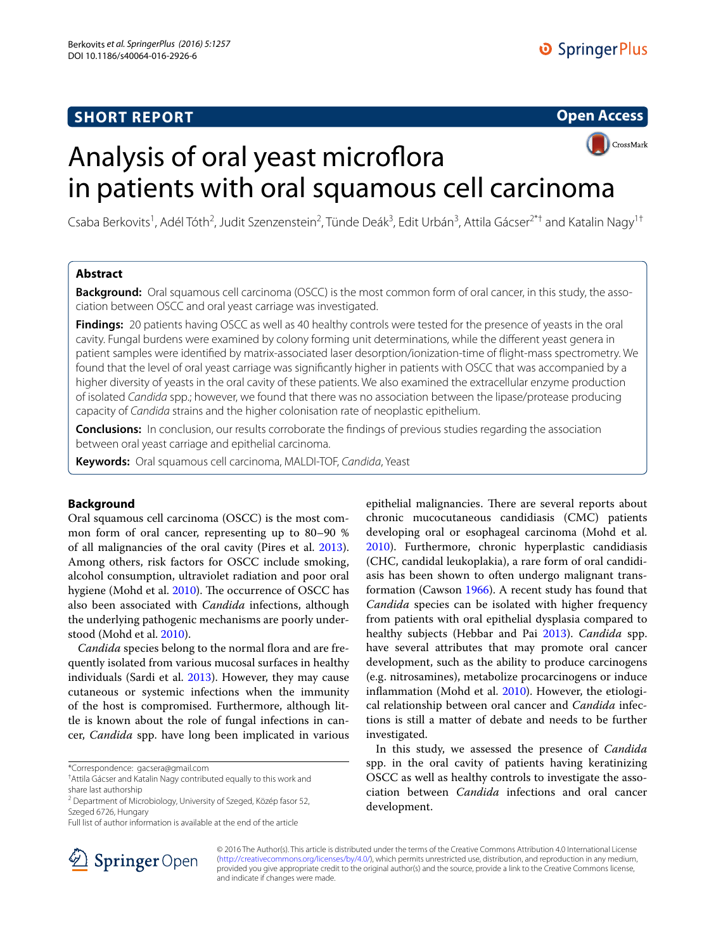# **SHORT REPORT**





# Analysis of oral yeast microflora in patients with oral squamous cell carcinoma

Csaba Berkovits<sup>1</sup>, Adél Tóth<sup>2</sup>, Judit Szenzenstein<sup>2</sup>, Tünde Deák<sup>3</sup>, Edit Urbán<sup>3</sup>, Attila Gácser<sup>2\*†</sup> and Katalin Nagy<sup>1†</sup>

# **Abstract**

**Background:** Oral squamous cell carcinoma (OSCC) is the most common form of oral cancer, in this study, the association between OSCC and oral yeast carriage was investigated.

**Findings:** 20 patients having OSCC as well as 40 healthy controls were tested for the presence of yeasts in the oral cavity. Fungal burdens were examined by colony forming unit determinations, while the different yeast genera in patient samples were identified by matrix-associated laser desorption/ionization-time of flight-mass spectrometry. We found that the level of oral yeast carriage was significantly higher in patients with OSCC that was accompanied by a higher diversity of yeasts in the oral cavity of these patients. We also examined the extracellular enzyme production of isolated *Candida* spp.; however, we found that there was no association between the lipase/protease producing capacity of *Candida* strains and the higher colonisation rate of neoplastic epithelium.

**Conclusions:** In conclusion, our results corroborate the findings of previous studies regarding the association between oral yeast carriage and epithelial carcinoma.

**Keywords:** Oral squamous cell carcinoma, MALDI-TOF, *Candida*, Yeast

# **Background**

Oral squamous cell carcinoma (OSCC) is the most common form of oral cancer, representing up to 80–90 % of all malignancies of the oral cavity (Pires et al. [2013](#page-4-0)). Among others, risk factors for OSCC include smoking, alcohol consumption, ultraviolet radiation and poor oral hygiene (Mohd et al. [2010](#page-4-1)). The occurrence of OSCC has also been associated with *Candida* infections, although the underlying pathogenic mechanisms are poorly understood (Mohd et al. [2010](#page-4-1)).

*Candida* species belong to the normal flora and are frequently isolated from various mucosal surfaces in healthy individuals (Sardi et al. [2013\)](#page-4-2). However, they may cause cutaneous or systemic infections when the immunity of the host is compromised. Furthermore, although little is known about the role of fungal infections in cancer, *Candida* spp. have long been implicated in various



In this study, we assessed the presence of *Candida* spp. in the oral cavity of patients having keratinizing OSCC as well as healthy controls to investigate the association between *Candida* infections and oral cancer development.



© 2016 The Author(s). This article is distributed under the terms of the Creative Commons Attribution 4.0 International License [\(http://creativecommons.org/licenses/by/4.0/\)](http://creativecommons.org/licenses/by/4.0/), which permits unrestricted use, distribution, and reproduction in any medium, provided you give appropriate credit to the original author(s) and the source, provide a link to the Creative Commons license, and indicate if changes were made.

<sup>\*</sup>Correspondence: gacsera@gmail.com

<sup>†</sup> Attila Gácser and Katalin Nagy contributed equally to this work and share last authorship

<sup>&</sup>lt;sup>2</sup> Department of Microbiology, University of Szeged, Közép fasor 52, Szeged 6726, Hungary

Full list of author information is available at the end of the article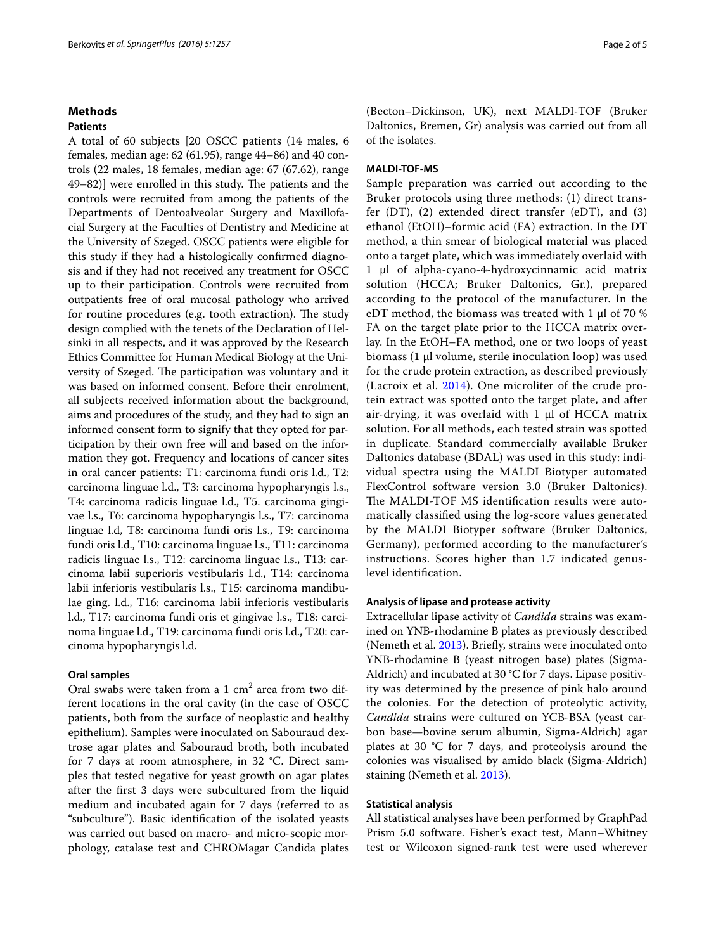## **Methods**

#### **Patients**

A total of 60 subjects [20 OSCC patients (14 males, 6 females, median age: 62 (61.95), range 44–86) and 40 controls (22 males, 18 females, median age: 67 (67.62), range 49–82)] were enrolled in this study. The patients and the controls were recruited from among the patients of the Departments of Dentoalveolar Surgery and Maxillofacial Surgery at the Faculties of Dentistry and Medicine at the University of Szeged. OSCC patients were eligible for this study if they had a histologically confirmed diagnosis and if they had not received any treatment for OSCC up to their participation. Controls were recruited from outpatients free of oral mucosal pathology who arrived for routine procedures (e.g. tooth extraction). The study design complied with the tenets of the Declaration of Helsinki in all respects, and it was approved by the Research Ethics Committee for Human Medical Biology at the University of Szeged. The participation was voluntary and it was based on informed consent. Before their enrolment, all subjects received information about the background, aims and procedures of the study, and they had to sign an informed consent form to signify that they opted for participation by their own free will and based on the information they got. Frequency and locations of cancer sites in oral cancer patients: T1: carcinoma fundi oris l.d., T2: carcinoma linguae l.d., T3: carcinoma hypopharyngis l.s., T4: carcinoma radicis linguae l.d., T5. carcinoma gingivae l.s., T6: carcinoma hypopharyngis l.s., T7: carcinoma linguae l.d, T8: carcinoma fundi oris l.s., T9: carcinoma fundi oris l.d., T10: carcinoma linguae l.s., T11: carcinoma radicis linguae l.s., T12: carcinoma linguae l.s., T13: carcinoma labii superioris vestibularis l.d., T14: carcinoma labii inferioris vestibularis l.s., T15: carcinoma mandibulae ging. l.d., T16: carcinoma labii inferioris vestibularis l.d., T17: carcinoma fundi oris et gingivae l.s., T18: carcinoma linguae l.d., T19: carcinoma fundi oris l.d., T20: carcinoma hypopharyngis l.d.

## **Oral samples**

Oral swabs were taken from a  $1 \text{ cm}^2$  area from two different locations in the oral cavity (in the case of OSCC patients, both from the surface of neoplastic and healthy epithelium). Samples were inoculated on Sabouraud dextrose agar plates and Sabouraud broth, both incubated for 7 days at room atmosphere, in 32 °C. Direct samples that tested negative for yeast growth on agar plates after the first 3 days were subcultured from the liquid medium and incubated again for 7 days (referred to as "subculture"). Basic identification of the isolated yeasts was carried out based on macro- and micro-scopic morphology, catalase test and CHROMagar Candida plates (Becton–Dickinson, UK), next MALDI-TOF (Bruker Daltonics, Bremen, Gr) analysis was carried out from all of the isolates.

#### **MALDI‑TOF‑MS**

Sample preparation was carried out according to the Bruker protocols using three methods: (1) direct transfer (DT), (2) extended direct transfer (eDT), and (3) ethanol (EtOH)–formic acid (FA) extraction. In the DT method, a thin smear of biological material was placed onto a target plate, which was immediately overlaid with 1 μl of alpha-cyano-4-hydroxycinnamic acid matrix solution (HCCA; Bruker Daltonics, Gr.), prepared according to the protocol of the manufacturer. In the eDT method, the biomass was treated with 1 μl of 70 % FA on the target plate prior to the HCCA matrix overlay. In the EtOH–FA method, one or two loops of yeast biomass (1 μl volume, sterile inoculation loop) was used for the crude protein extraction, as described previously (Lacroix et al. [2014](#page-4-4)). One microliter of the crude protein extract was spotted onto the target plate, and after air-drying, it was overlaid with  $1 \mu$  of HCCA matrix solution. For all methods, each tested strain was spotted in duplicate. Standard commercially available Bruker Daltonics database (BDAL) was used in this study: individual spectra using the MALDI Biotyper automated FlexControl software version 3.0 (Bruker Daltonics). The MALDI-TOF MS identification results were automatically classified using the log-score values generated by the MALDI Biotyper software (Bruker Daltonics, Germany), performed according to the manufacturer's instructions. Scores higher than 1.7 indicated genuslevel identification.

# **Analysis of lipase and protease activity**

Extracellular lipase activity of *Candida* strains was examined on YNB-rhodamine B plates as previously described (Nemeth et al. [2013\)](#page-4-5). Briefly, strains were inoculated onto YNB-rhodamine B (yeast nitrogen base) plates (Sigma-Aldrich) and incubated at 30 °C for 7 days. Lipase positivity was determined by the presence of pink halo around the colonies. For the detection of proteolytic activity, *Candida* strains were cultured on YCB-BSA (yeast carbon base—bovine serum albumin, Sigma-Aldrich) agar plates at 30 °C for 7 days, and proteolysis around the colonies was visualised by amido black (Sigma-Aldrich) staining (Nemeth et al. [2013\)](#page-4-5).

#### **Statistical analysis**

All statistical analyses have been performed by GraphPad Prism 5.0 software. Fisher's exact test, Mann–Whitney test or Wilcoxon signed-rank test were used wherever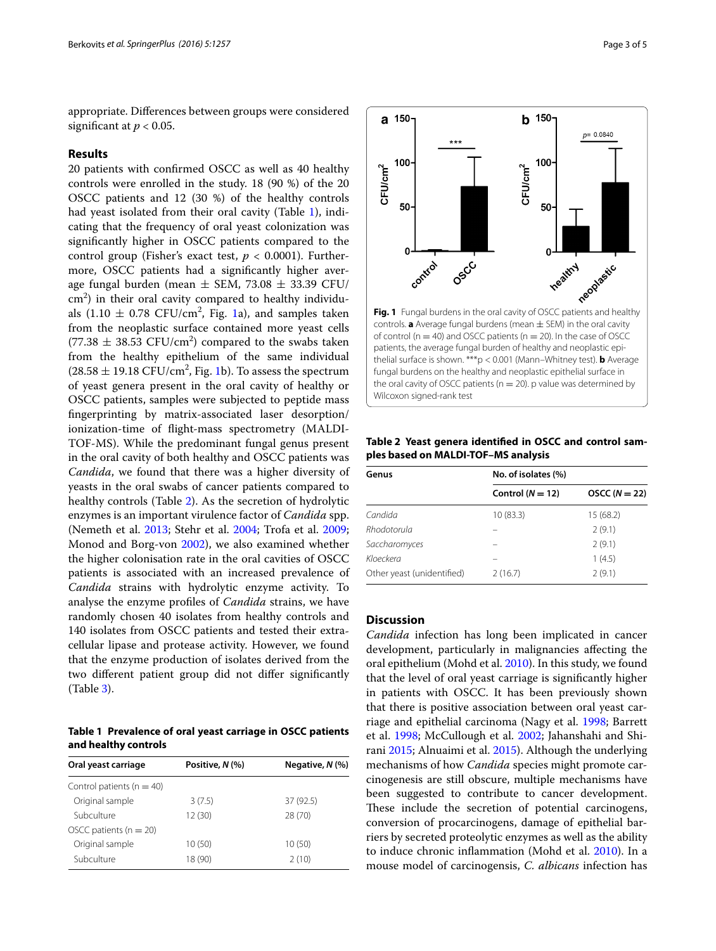appropriate. Differences between groups were considered significant at  $p < 0.05$ .

#### **Results**

20 patients with confirmed OSCC as well as 40 healthy controls were enrolled in the study. 18 (90 %) of the 20 OSCC patients and 12 (30 %) of the healthy controls had yeast isolated from their oral cavity (Table [1](#page-2-0)), indicating that the frequency of oral yeast colonization was significantly higher in OSCC patients compared to the control group (Fisher's exact test,  $p < 0.0001$ ). Furthermore, OSCC patients had a significantly higher average fungal burden (mean  $\pm$  SEM, 73.08  $\pm$  33.39 CFU/ cm<sup>2</sup>) in their oral cavity compared to healthy individuals  $(1.10 \pm 0.78 \text{ CFU/cm}^2, \text{Fig. 1a})$  $(1.10 \pm 0.78 \text{ CFU/cm}^2, \text{Fig. 1a})$  $(1.10 \pm 0.78 \text{ CFU/cm}^2, \text{Fig. 1a})$ , and samples taken from the neoplastic surface contained more yeast cells  $(77.38 \pm 38.53 \text{ CFU/cm}^2)$  compared to the swabs taken from the healthy epithelium of the same individual  $(28.58 \pm 19.18 \text{ CFU/cm}^2, \text{Fig. 1b}).$  $(28.58 \pm 19.18 \text{ CFU/cm}^2, \text{Fig. 1b}).$  $(28.58 \pm 19.18 \text{ CFU/cm}^2, \text{Fig. 1b}).$  To assess the spectrum of yeast genera present in the oral cavity of healthy or OSCC patients, samples were subjected to peptide mass fingerprinting by matrix-associated laser desorption/ ionization-time of flight-mass spectrometry (MALDI-TOF-MS). While the predominant fungal genus present in the oral cavity of both healthy and OSCC patients was *Candida*, we found that there was a higher diversity of yeasts in the oral swabs of cancer patients compared to healthy controls (Table [2](#page-2-2)). As the secretion of hydrolytic enzymes is an important virulence factor of *Candida* spp. (Nemeth et al. [2013;](#page-4-5) Stehr et al. [2004;](#page-4-6) Trofa et al. [2009](#page-4-7); Monod and Borg-von [2002\)](#page-4-8), we also examined whether the higher colonisation rate in the oral cavities of OSCC patients is associated with an increased prevalence of *Candida* strains with hydrolytic enzyme activity. To analyse the enzyme profiles of *Candida* strains, we have randomly chosen 40 isolates from healthy controls and 140 isolates from OSCC patients and tested their extracellular lipase and protease activity. However, we found that the enzyme production of isolates derived from the two different patient group did not differ significantly (Table [3](#page-3-1)).

<span id="page-2-0"></span>**Table 1 Prevalence of oral yeast carriage in OSCC patients and healthy controls**

| Oral yeast carriage           | Positive, N (%) | Negative, $N$ (%) |
|-------------------------------|-----------------|-------------------|
| Control patients ( $n = 40$ ) |                 |                   |
| Original sample               | 3(7.5)          | 37 (92.5)         |
| Subculture                    | 12(30)          | 28(70)            |
| OSCC patients ( $n = 20$ )    |                 |                   |
| Original sample               | 10 (50)         | 10 (50)           |
| Subculture                    | 18 (90)         | 2(10)             |



<span id="page-2-2"></span><span id="page-2-1"></span>**Table 2 Yeast genera identified in OSCC and control samples based on MALDI-TOF–MS analysis**

| Genus                      | No. of isolates (%) |                 |  |  |  |
|----------------------------|---------------------|-----------------|--|--|--|
|                            | Control $(N = 12)$  | $OSCC (N = 22)$ |  |  |  |
| Candida                    | 10 (83.3)           | 15(68.2)        |  |  |  |
| Rhodotorula                |                     | 2(9.1)          |  |  |  |
| Saccharomyces              |                     | 2(9.1)          |  |  |  |
| Kloeckera                  |                     | 1(4.5)          |  |  |  |
| Other yeast (unidentified) | 2(16.7)             | 2(9.1)          |  |  |  |

# **Discussion**

*Candida* infection has long been implicated in cancer development, particularly in malignancies affecting the oral epithelium (Mohd et al. [2010\)](#page-4-1). In this study, we found that the level of oral yeast carriage is significantly higher in patients with OSCC. It has been previously shown that there is positive association between oral yeast carriage and epithelial carcinoma (Nagy et al. [1998](#page-4-9); Barrett et al. [1998;](#page-3-2) McCullough et al. [2002;](#page-4-10) Jahanshahi and Shirani [2015](#page-4-11); Alnuaimi et al. [2015\)](#page-3-3). Although the underlying mechanisms of how *Candida* species might promote carcinogenesis are still obscure, multiple mechanisms have been suggested to contribute to cancer development. These include the secretion of potential carcinogens, conversion of procarcinogens, damage of epithelial barriers by secreted proteolytic enzymes as well as the ability to induce chronic inflammation (Mohd et al. [2010\)](#page-4-1). In a mouse model of carcinogensis, *C. albicans* infection has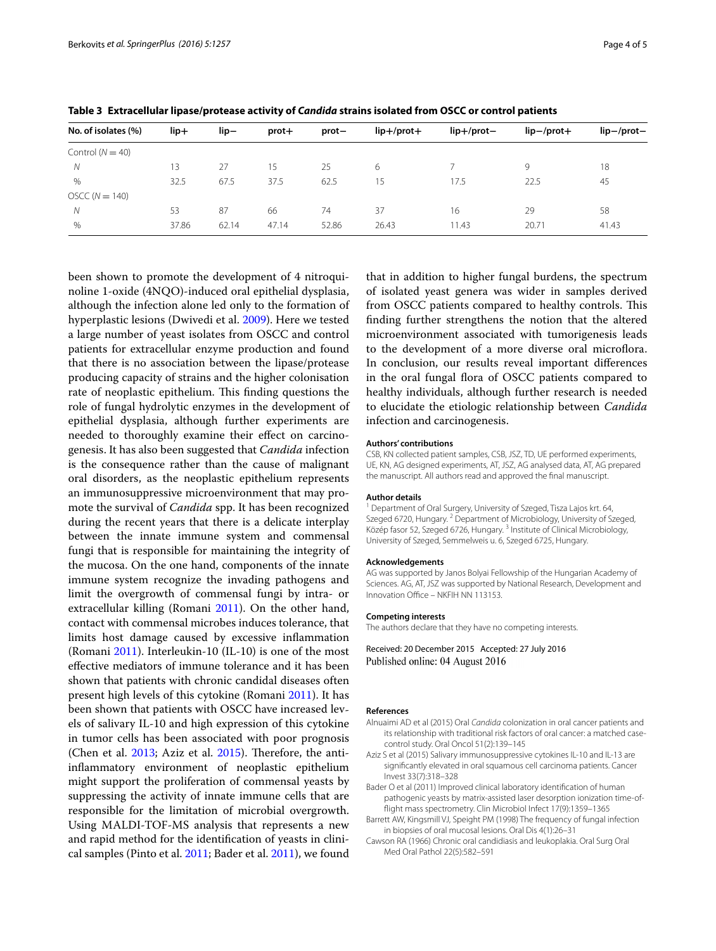| No. of isolates (%) | $lip+$ | $lip-$ | $prot+$ | $prot-$ | $lip+$ /prot $+$ | $lip+$ /prot $-$ | $lip-/prot+$ | $lip-/prot-$ |
|---------------------|--------|--------|---------|---------|------------------|------------------|--------------|--------------|
|                     |        |        |         |         |                  |                  |              |              |
| Control $(N = 40)$  |        |        |         |         |                  |                  |              |              |
| N                   | 13     | 27     | 15      | 25      | 6                |                  | $\mathsf{Q}$ | 18           |
| %                   | 32.5   | 67.5   | 37.5    | 62.5    | 15               | 17.5             | 22.5         | 45           |
| $OSCC (N = 140)$    |        |        |         |         |                  |                  |              |              |
| N                   | 53     | 87     | 66      | 74      | 37               | 16               | 29           | 58           |
| $\%$                | 37.86  | 62.14  | 47.14   | 52.86   | 26.43            | 11.43            | 20.71        | 41.43        |

<span id="page-3-1"></span>**Table 3 Extracellular lipase/protease activity of** *Candida* **strains isolated from OSCC or control patients**

been shown to promote the development of 4 nitroquinoline 1-oxide (4NQO)-induced oral epithelial dysplasia, although the infection alone led only to the formation of hyperplastic lesions (Dwivedi et al. [2009](#page-4-12)). Here we tested a large number of yeast isolates from OSCC and control patients for extracellular enzyme production and found that there is no association between the lipase/protease producing capacity of strains and the higher colonisation rate of neoplastic epithelium. This finding questions the role of fungal hydrolytic enzymes in the development of epithelial dysplasia, although further experiments are needed to thoroughly examine their effect on carcinogenesis. It has also been suggested that *Candida* infection is the consequence rather than the cause of malignant oral disorders, as the neoplastic epithelium represents an immunosuppressive microenvironment that may promote the survival of *Candida* spp. It has been recognized during the recent years that there is a delicate interplay between the innate immune system and commensal fungi that is responsible for maintaining the integrity of the mucosa. On the one hand, components of the innate immune system recognize the invading pathogens and limit the overgrowth of commensal fungi by intra- or extracellular killing (Romani [2011\)](#page-4-13). On the other hand, contact with commensal microbes induces tolerance, that limits host damage caused by excessive inflammation (Romani [2011](#page-4-13)). Interleukin-10 (IL-10) is one of the most effective mediators of immune tolerance and it has been shown that patients with chronic candidal diseases often present high levels of this cytokine (Romani [2011\)](#page-4-13). It has been shown that patients with OSCC have increased levels of salivary IL-10 and high expression of this cytokine in tumor cells has been associated with poor prognosis (Chen et al. [2013](#page-4-14); Aziz et al. [2015](#page-3-4)). Therefore, the antiinflammatory environment of neoplastic epithelium might support the proliferation of commensal yeasts by suppressing the activity of innate immune cells that are responsible for the limitation of microbial overgrowth. Using MALDI-TOF-MS analysis that represents a new and rapid method for the identification of yeasts in clinical samples (Pinto et al. [2011;](#page-4-15) Bader et al. [2011](#page-3-5)), we found

that in addition to higher fungal burdens, the spectrum of isolated yeast genera was wider in samples derived from OSCC patients compared to healthy controls. This finding further strengthens the notion that the altered microenvironment associated with tumorigenesis leads to the development of a more diverse oral microflora. In conclusion, our results reveal important differences in the oral fungal flora of OSCC patients compared to healthy individuals, although further research is needed to elucidate the etiologic relationship between *Candida* infection and carcinogenesis.

#### **Authors' contributions**

CSB, KN collected patient samples, CSB, JSZ, TD, UE performed experiments, UE, KN, AG designed experiments, AT, JSZ, AG analysed data, AT, AG prepared the manuscript. All authors read and approved the final manuscript.

#### **Author details**

<sup>1</sup> Department of Oral Surgery, University of Szeged, Tisza Lajos krt. 64, Szeged 6720, Hungary.<sup>2</sup> Department of Microbiology, University of Szeged, Közép fasor 52, Szeged 6726, Hungary. 3 Institute of Clinical Microbiology, University of Szeged, Semmelweis u. 6, Szeged 6725, Hungary.

#### **Acknowledgements**

AG was supported by Janos Bolyai Fellowship of the Hungarian Academy of Sciences. AG, AT, JSZ was supported by National Research, Development and Innovation Office – NKFIH NN 113153.

#### **Competing interests**

The authors declare that they have no competing interests.

Received: 20 December 2015 Accepted: 27 July 2016 Published online: 04 August 2016

#### **References**

- <span id="page-3-3"></span>Alnuaimi AD et al (2015) Oral *Candida* colonization in oral cancer patients and its relationship with traditional risk factors of oral cancer: a matched casecontrol study. Oral Oncol 51(2):139–145
- <span id="page-3-4"></span>Aziz S et al (2015) Salivary immunosuppressive cytokines IL-10 and IL-13 are significantly elevated in oral squamous cell carcinoma patients. Cancer Invest 33(7):318–328
- <span id="page-3-5"></span>Bader O et al (2011) Improved clinical laboratory identification of human pathogenic yeasts by matrix-assisted laser desorption ionization time-offlight mass spectrometry. Clin Microbiol Infect 17(9):1359–1365
- <span id="page-3-2"></span>Barrett AW, Kingsmill VJ, Speight PM (1998) The frequency of fungal infection in biopsies of oral mucosal lesions. Oral Dis 4(1):26–31
- <span id="page-3-0"></span>Cawson RA (1966) Chronic oral candidiasis and leukoplakia. Oral Surg Oral Med Oral Pathol 22(5):582–591